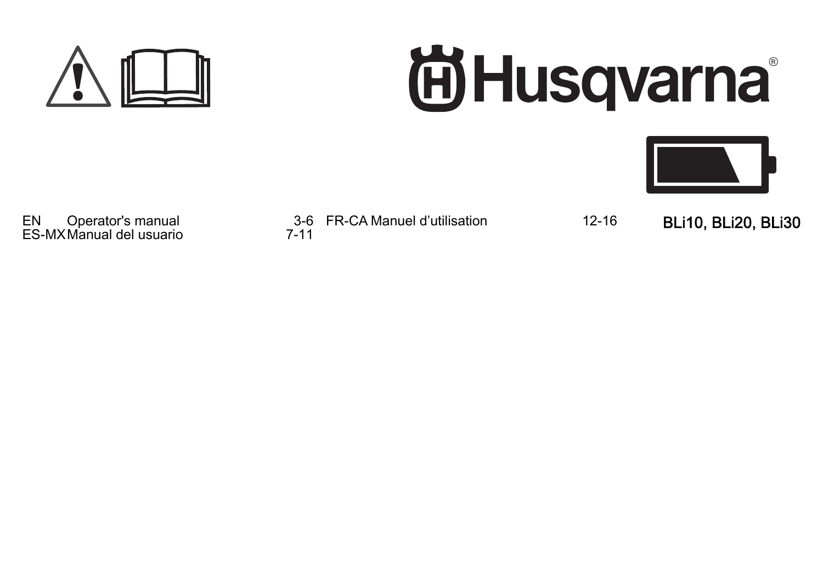

# **尚Husqvarna**



EN Operator's manual 3-6 ES-MXManual del usuario 7-11

FR-CA Manuel d'utilisation 12-16 BLi10, BLi20, BLi30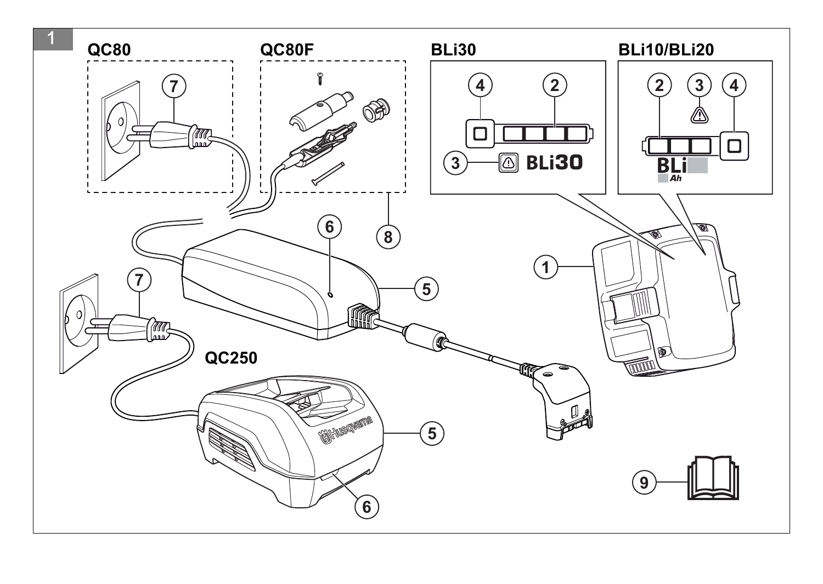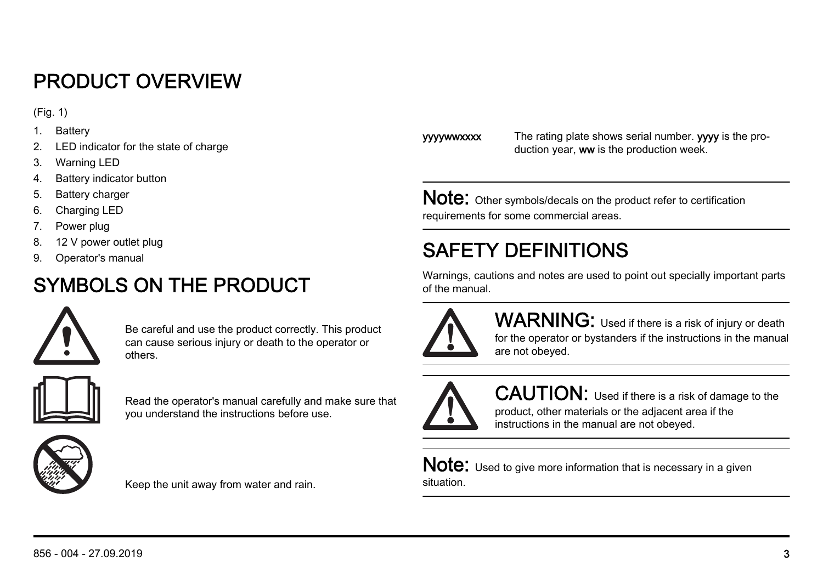# PRODUCT OVERVIEW

(Fig. 1)

- 1. Battery
- 2. LED indicator for the state of charge
- 3. Warning LED
- 4. Battery indicator button
- 5. Battery charger
- 6. Charging LED
- 7. Power plug
- 8. 12 V power outlet plug
- 9. Operator's manual

# SYMBOLS ON THE PRODUCT



Be careful and use the product correctly. This product can cause serious injury or death to the operator or others.



Read the operator's manual carefully and make sure that you understand the instructions before use.



Keep the unit away from water and rain.

**yyywwxxxx** The rating plate shows serial number. **yyve** is the production year, ww is the production week.

Note: Other symbols/decals on the product refer to certification requirements for some commercial areas.

# SAFETY DEFINITIONS

Warnings, cautions and notes are used to point out specially important parts of the manual.



WARNING: Used if there is a risk of injury or death for the operator or bystanders if the instructions in the manual are not obeyed.

CAUTION: Used if there is a risk of damage to the product, other materials or the adjacent area if the instructions in the manual are not obeyed.

Note: Used to give more information that is necessary in a given situation.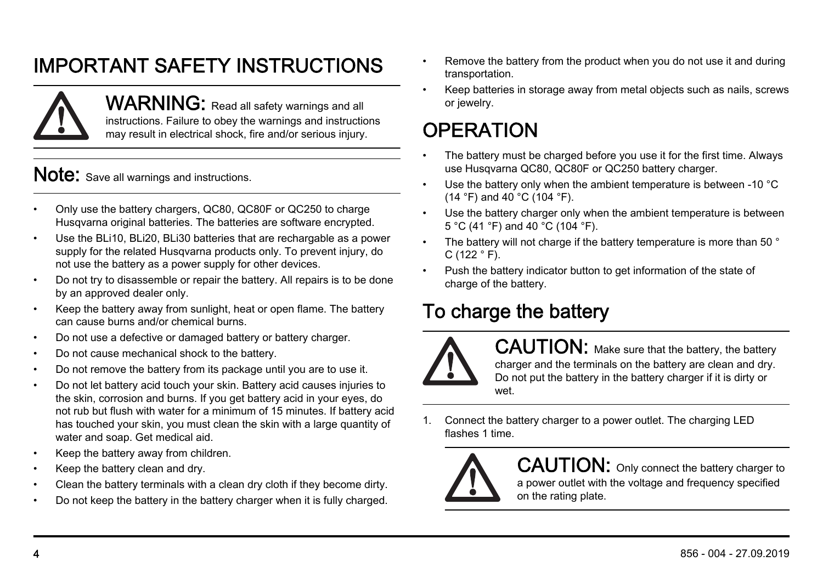# IMPORTANT SAFETY INSTRUCTIONS



WARNING: Read all safety warnings and all instructions. Failure to obey the warnings and instructions may result in electrical shock, fire and/or serious injury.

Note: Save all warnings and instructions.

- Only use the battery chargers, QC80, QC80F or QC250 to charge Husqvarna original batteries. The batteries are software encrypted.
- Use the BLi10, BLi20, BLi30 batteries that are rechargable as a power supply for the related Husqvarna products only. To prevent injury, do not use the battery as a power supply for other devices.
- Do not try to disassemble or repair the battery. All repairs is to be done by an approved dealer only.
- Keep the battery away from sunlight, heat or open flame. The battery can cause burns and/or chemical burns.
- Do not use a defective or damaged battery or battery charger.
- Do not cause mechanical shock to the battery.
- Do not remove the battery from its package until you are to use it.
- Do not let battery acid touch your skin. Battery acid causes injuries to the skin, corrosion and burns. If you get battery acid in your eyes, do not rub but flush with water for a minimum of 15 minutes. If battery acid has touched your skin, you must clean the skin with a large quantity of water and soap. Get medical aid.
- Keep the battery away from children.
- Keep the battery clean and dry.
- Clean the battery terminals with a clean dry cloth if they become dirty.
- Do not keep the battery in the battery charger when it is fully charged.
- Remove the battery from the product when you do not use it and during transportation.
- Keep batteries in storage away from metal objects such as nails, screws or jewelry.

# **OPERATION**

- The battery must be charged before you use it for the first time. Always use Husqvarna QC80, QC80F or QC250 battery charger.
- Use the battery only when the ambient temperature is between -10 °C (14 °F) and 40 °C (104 °F).
- Use the battery charger only when the ambient temperature is between 5 °C (41 °F) and 40 °C (104 °F).
- The battery will not charge if the battery temperature is more than 50 °  $C$  (122  $^{\circ}$  F).
- Push the battery indicator button to get information of the state of charge of the battery.

### To charge the battery



CAUTION: Make sure that the battery, the battery charger and the terminals on the battery are clean and dry. Do not put the battery in the battery charger if it is dirty or wet.

1. Connect the battery charger to a power outlet. The charging LED flashes 1 time.



CAUTION: Only connect the battery charger to a power outlet with the voltage and frequency specified on the rating plate.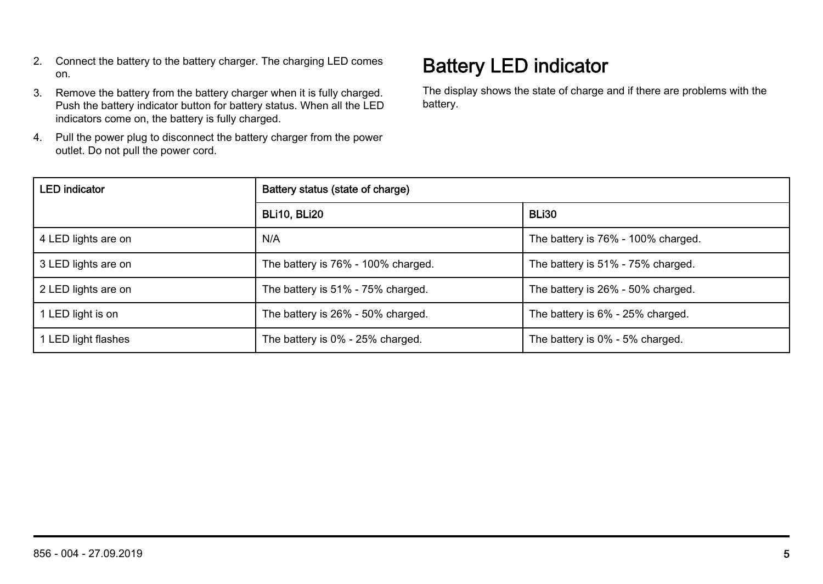- 2. Connect the battery to the battery charger. The charging LED comes on.
- 3. Remove the battery from the battery charger when it is fully charged. Push the battery indicator button for battery status. When all the LED indicators come on, the battery is fully charged.
- 4. Pull the power plug to disconnect the battery charger from the power outlet. Do not pull the power cord.

#### Battery LED indicator

The display shows the state of charge and if there are problems with the battery.

| <b>LED</b> indicator | Battery status (state of charge)   |                                    |
|----------------------|------------------------------------|------------------------------------|
|                      | BLI10. BLI20                       | BLI30                              |
| 4 LED lights are on  | N/A                                | The battery is 76% - 100% charged. |
| 3 LED lights are on  | The battery is 76% - 100% charged. | The battery is 51% - 75% charged.  |
| 2 LED lights are on  | The battery is 51% - 75% charged.  | The battery is 26% - 50% charged.  |
| 1 LED light is on    | The battery is 26% - 50% charged.  | The battery is 6% - 25% charged.   |
| 1 LED light flashes  | The battery is 0% - 25% charged.   | The battery is 0% - 5% charged.    |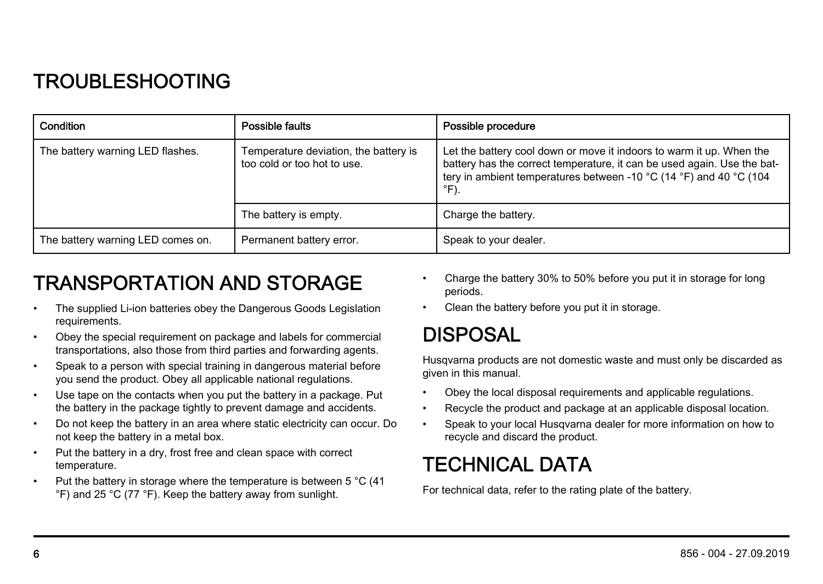#### TROUBLESHOOTING

| Condition                         | Possible faults                                                      | Possible procedure                                                                                                                                                                                                            |
|-----------------------------------|----------------------------------------------------------------------|-------------------------------------------------------------------------------------------------------------------------------------------------------------------------------------------------------------------------------|
| The battery warning LED flashes.  | Temperature deviation, the battery is<br>too cold or too hot to use. | Let the battery cool down or move it indoors to warm it up. When the<br>battery has the correct temperature, it can be used again. Use the bat-<br>tery in ambient temperatures between -10 °C (14 °F) and 40 °C (104<br>°F). |
|                                   | The battery is empty.                                                | Charge the battery.                                                                                                                                                                                                           |
| The battery warning LED comes on. | Permanent battery error.                                             | Speak to your dealer.                                                                                                                                                                                                         |

#### TRANSPORTATION AND STORAGE

- The supplied Li-ion batteries obey the Dangerous Goods Legislation requirements.
- Obey the special requirement on package and labels for commercial transportations, also those from third parties and forwarding agents.
- Speak to a person with special training in dangerous material before you send the product. Obey all applicable national regulations.
- Use tape on the contacts when you put the battery in a package. Put the battery in the package tightly to prevent damage and accidents.
- Do not keep the battery in an area where static electricity can occur. Do not keep the battery in a metal box.
- Put the battery in a dry, frost free and clean space with correct temperature.
- Put the battery in storage where the temperature is between 5 °C (41 °F) and 25 °C (77 °F). Keep the battery away from sunlight.
- Charge the battery 30% to 50% before you put it in storage for long periods.
- Clean the battery before you put it in storage.

#### DISPOSAL

Husqvarna products are not domestic waste and must only be discarded as given in this manual.

- Obey the local disposal requirements and applicable regulations.
- Recycle the product and package at an applicable disposal location.
- Speak to your local Husqvarna dealer for more information on how to recycle and discard the product.

#### TECHNICAL DATA

For technical data, refer to the rating plate of the battery.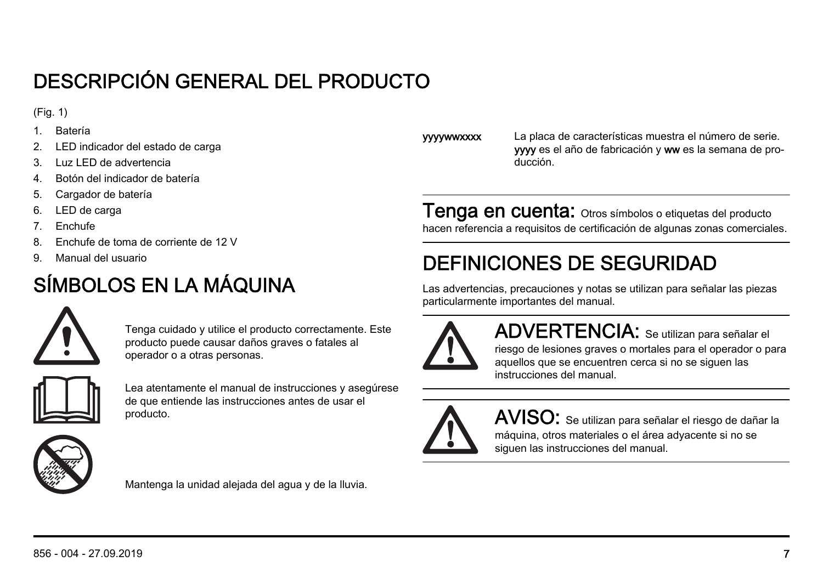# DESCRIPCIÓN GENERAL DEL PRODUCTO

(Fig. 1)

- 1. Batería
- 2. LED indicador del estado de carga
- 3. Luz LED de advertencia
- 4. Botón del indicador de batería
- 5. Cargador de batería
- 6. LED de carga
- 7. Enchufe
- 8. Enchufe de toma de corriente de 12 V
- 9. Manual del usuario

# SÍMBOLOS EN LA MÁQUINA



Tenga cuidado y utilice el producto correctamente. Este producto puede causar daños graves o fatales al operador o a otras personas.



Lea atentamente el manual de instrucciones y asegúrese de que entiende las instrucciones antes de usar el producto.



Mantenga la unidad alejada del agua y de la lluvia.

**vywww.xxx** La placa de características muestra el número de serie. yyyy es el año de fabricación y ww es la semana de producción.

Tenga en cuenta: Otros símbolos o etiquetas del producto hacen referencia a requisitos de certificación de algunas zonas comerciales.

# DEFINICIONES DE SEGURIDAD

Las advertencias, precauciones y notas se utilizan para señalar las piezas particularmente importantes del manual.



ADVERTENCIA: Se utilizan para señalar el riesgo de lesiones graves o mortales para el operador o para aquellos que se encuentren cerca si no se siguen las instrucciones del manual.



AVISO: Se utilizan para señalar el riesgo de dañar la máquina, otros materiales o el área adyacente si no se siguen las instrucciones del manual.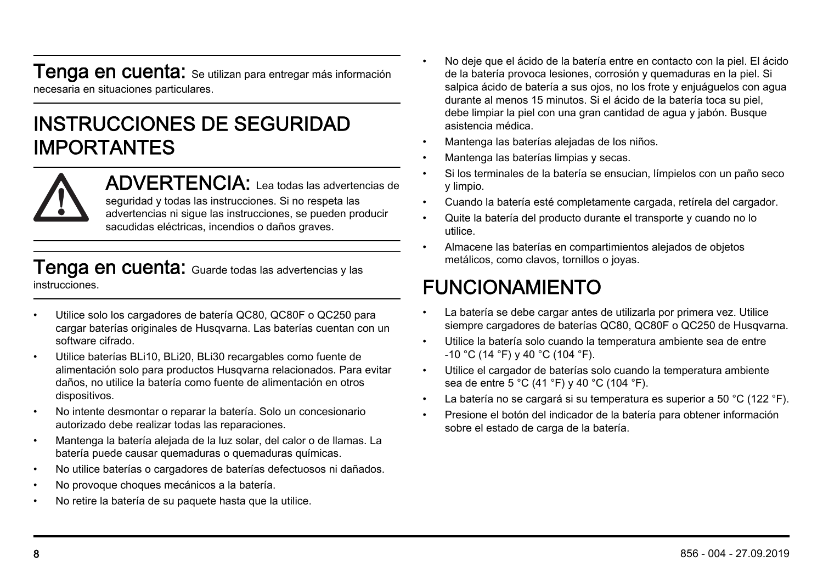**Tenga en cuenta:** Se utilizan para entregar más información necesaria en situaciones particulares.

#### INSTRUCCIONES DE SEGURIDAD IMPORTANTES



ADVERTENCIA: Lea todas las advertencias de seguridad y todas las instrucciones. Si no respeta las advertencias ni sigue las instrucciones, se pueden producir sacudidas eléctricas, incendios o daños graves.

#### **Tenga en cuenta:** Guarde todas las advertencias y las instrucciones.

- Utilice solo los cargadores de batería QC80, QC80F o QC250 para cargar baterías originales de Husqvarna. Las baterías cuentan con un software cifrado.
- Utilice baterías BLi10, BLi20, BLi30 recargables como fuente de alimentación solo para productos Husqvarna relacionados. Para evitar daños, no utilice la batería como fuente de alimentación en otros dispositivos.
- No intente desmontar o reparar la batería. Solo un concesionario autorizado debe realizar todas las reparaciones.
- Mantenga la batería alejada de la luz solar, del calor o de llamas. La batería puede causar quemaduras o quemaduras químicas.
- No utilice baterías o cargadores de baterías defectuosos ni dañados.
- No provoque choques mecánicos a la batería.
- No retire la batería de su paquete hasta que la utilice.
- No deje que el ácido de la batería entre en contacto con la piel. El ácido de la batería provoca lesiones, corrosión y quemaduras en la piel. Si salpica ácido de batería a sus ojos, no los frote y enjuáguelos con agua durante al menos 15 minutos. Si el ácido de la batería toca su piel, debe limpiar la piel con una gran cantidad de agua y jabón. Busque asistencia médica.
- Mantenga las baterías alejadas de los niños.
- Mantenga las baterías limpias y secas.
- Si los terminales de la batería se ensucian, límpielos con un paño seco y limpio.
- Cuando la batería esté completamente cargada, retírela del cargador.
- Quite la batería del producto durante el transporte y cuando no lo utilice.
- Almacene las baterías en compartimientos alejados de objetos metálicos, como clavos, tornillos o joyas.

#### FUNCIONAMIENTO

- La batería se debe cargar antes de utilizarla por primera vez. Utilice siempre cargadores de baterías QC80, QC80F o QC250 de Husgyarna.
- Utilice la batería solo cuando la temperatura ambiente sea de entre -10 °C (14 °F) y 40 °C (104 °F).
- Utilice el cargador de baterías solo cuando la temperatura ambiente sea de entre 5 °C (41 °F) y 40 °C (104 °F).
- La batería no se cargará si su temperatura es superior a 50 °C (122 °F).
- Presione el botón del indicador de la batería para obtener información sobre el estado de carga de la batería.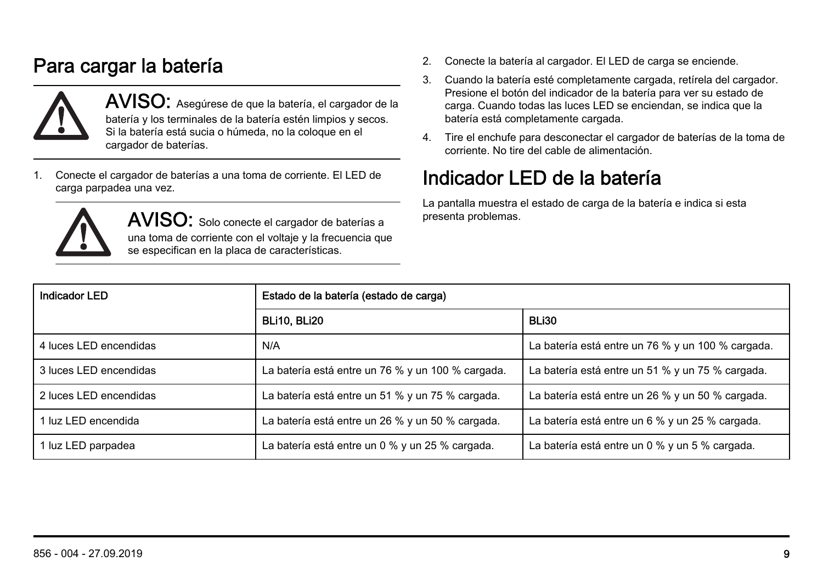### Para cargar la batería



AVISO: Asegúrese de que la batería, el cargador de la batería y los terminales de la batería estén limpios y secos. Si la batería está sucia o húmeda, no la coloque en el cargador de baterías.

1. Conecte el cargador de baterías a una toma de corriente. El LED de carga parpadea una vez.



AVISO: Solo conecte el cargador de baterías a una toma de corriente con el voltaje y la frecuencia que se especifican en la placa de características.

- 2. Conecte la batería al cargador. El LED de carga se enciende.
- 3. Cuando la batería esté completamente cargada, retírela del cargador. Presione el botón del indicador de la batería para ver su estado de carga. Cuando todas las luces LED se enciendan, se indica que la batería está completamente cargada.
- 4. Tire el enchufe para desconectar el cargador de baterías de la toma de corriente. No tire del cable de alimentación.

#### Indicador LED de la batería

La pantalla muestra el estado de carga de la batería e indica si esta presenta problemas.

| Indicador LED          | Estado de la batería (estado de carga)            |                                                   |
|------------------------|---------------------------------------------------|---------------------------------------------------|
|                        | BLI10, BLI20                                      | BLI30                                             |
| 4 luces LED encendidas | N/A                                               | La batería está entre un 76 % y un 100 % cargada. |
| 3 luces LED encendidas | La batería está entre un 76 % y un 100 % cargada. | La batería está entre un 51 % y un 75 % cargada.  |
| 2 luces LED encendidas | La batería está entre un 51 % y un 75 % cargada.  | La batería está entre un 26 % y un 50 % cargada.  |
| 1 luz LED encendida    | La batería está entre un 26 % y un 50 % cargada.  | La batería está entre un 6 % y un 25 % cargada.   |
| 1 luz LED parpadea     | La batería está entre un 0 % y un 25 % cargada.   | La batería está entre un 0 % y un 5 % cargada.    |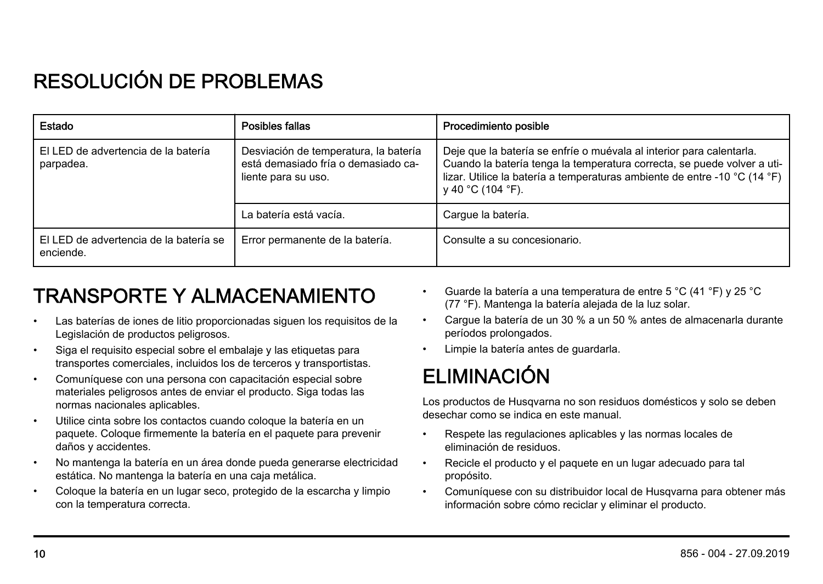# RESOLUCIÓN DE PROBLEMAS

| Estado                                              | Posibles fallas                                                                                     | Procedimiento posible                                                                                                                                                                                                                             |
|-----------------------------------------------------|-----------------------------------------------------------------------------------------------------|---------------------------------------------------------------------------------------------------------------------------------------------------------------------------------------------------------------------------------------------------|
| El LED de advertencia de la batería<br>parpadea.    | Desviación de temperatura, la batería<br>está demasiado fría o demasiado ca-<br>liente para su uso. | Deje que la batería se enfríe o muévala al interior para calentarla.<br>Cuando la batería tenga la temperatura correcta, se puede volver a uti-<br>lizar. Utilice la batería a temperaturas ambiente de entre -10 °C (14 °F)<br>y 40 °C (104 °F). |
|                                                     | La batería está vacía.                                                                              | Cargue la batería.                                                                                                                                                                                                                                |
| El LED de advertencia de la batería se<br>enciende. | Error permanente de la batería.                                                                     | Consulte a su concesionario.                                                                                                                                                                                                                      |

## TRANSPORTE Y ALMACENAMIENTO

- Las baterías de iones de litio proporcionadas siguen los requisitos de la Legislación de productos peligrosos.
- Siga el requisito especial sobre el embalaje y las etiquetas para transportes comerciales, incluidos los de terceros y transportistas.
- Comuníquese con una persona con capacitación especial sobre materiales peligrosos antes de enviar el producto. Siga todas las normas nacionales aplicables.
- Utilice cinta sobre los contactos cuando coloque la batería en un paquete. Coloque firmemente la batería en el paquete para prevenir daños y accidentes.
- No mantenga la batería en un área donde pueda generarse electricidad estática. No mantenga la batería en una caja metálica.
- Coloque la batería en un lugar seco, protegido de la escarcha y limpio con la temperatura correcta.
- Guarde la batería a una temperatura de entre 5 °C (41 °F) y 25 °C (77 °F). Mantenga la batería alejada de la luz solar.
- Cargue la batería de un 30 % a un 50 % antes de almacenarla durante períodos prolongados.
- Limpie la batería antes de guardarla.

# ELIMINACIÓN

Los productos de Husqvarna no son residuos domésticos y solo se deben desechar como se indica en este manual.

- Respete las regulaciones aplicables y las normas locales de eliminación de residuos.
- Recicle el producto y el paquete en un lugar adecuado para tal propósito.
- Comuníquese con su distribuidor local de Husqvarna para obtener más información sobre cómo reciclar y eliminar el producto.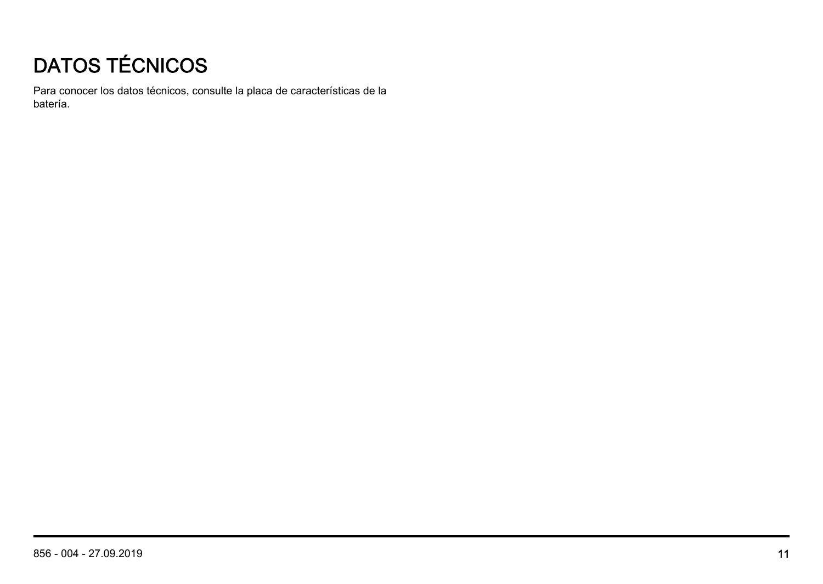# DATOS TÉCNICOS

Para conocer los datos técnicos, consulte la placa de características de la batería.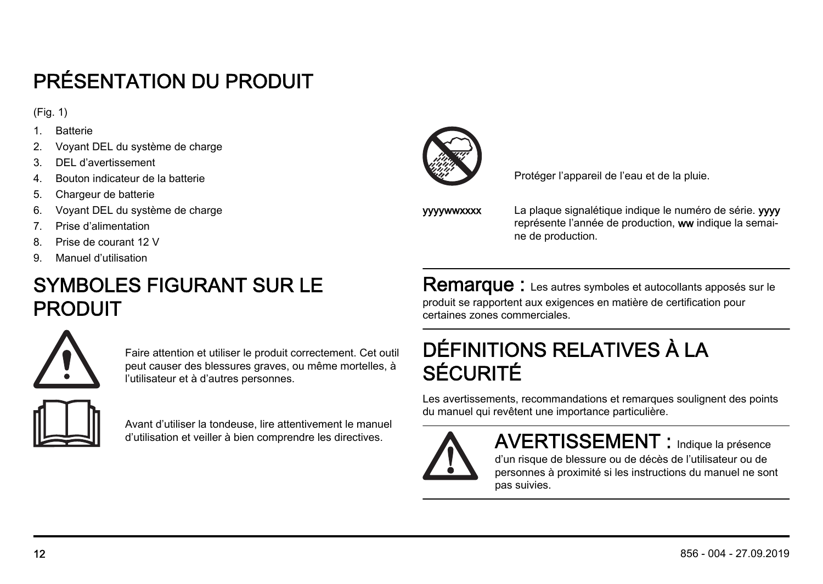# PRÉSENTATION DU PRODUIT

(Fig. 1)

- 1. Batterie
- 2. Voyant DEL du système de charge
- 3. DEL d'avertissement
- 4. Bouton indicateur de la batterie
- 5. Chargeur de batterie
- 6. Voyant DEL du système de charge
- 7. Prise d'alimentation
- 8. Prise de courant 12 V
- 9. Manuel d'utilisation

### SYMBOLES FIGURANT SUR LE PRODUIT



Faire attention et utiliser le produit correctement. Cet outil peut causer des blessures graves, ou même mortelles, à l'utilisateur et à d'autres personnes.



Avant d'utiliser la tondeuse, lire attentivement le manuel d'utilisation et veiller à bien comprendre les directives.



Protéger l'appareil de l'eau et de la pluie.

**vywwwxxxx** La plaque signalétique indique le numéro de série. www représente l'année de production, ww indique la semaine de production.

Remarque : Les autres symboles et autocollants apposés sur le produit se rapportent aux exigences en matière de certification pour certaines zones commerciales.

## DÉFINITIONS RELATIVES À LA SÉCURITÉ

Les avertissements, recommandations et remarques soulignent des points du manuel qui revêtent une importance particulière.



AVERTISSEMENT : Indique la présence d'un risque de blessure ou de décès de l'utilisateur ou de personnes à proximité si les instructions du manuel ne sont pas suivies.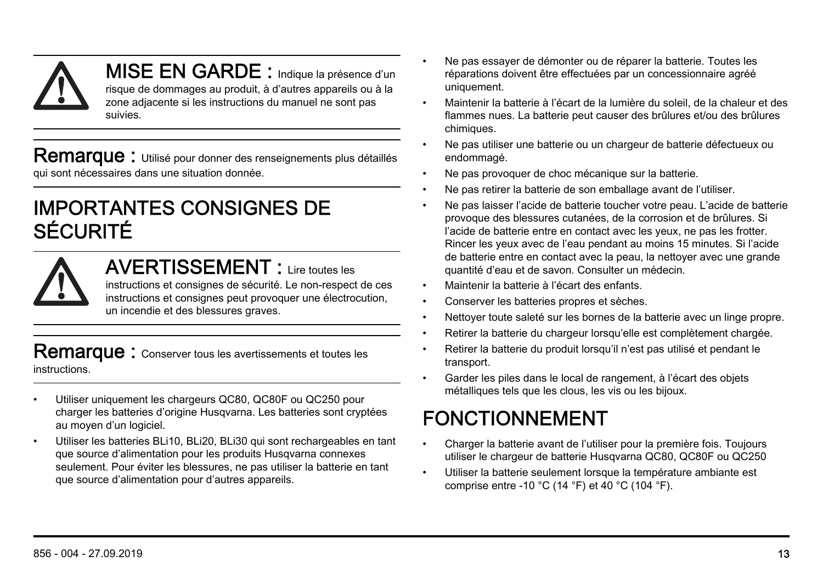MISE EN GARDE : Indique la présence d'un risque de dommages au produit, à d'autres appareils ou à la zone adjacente si les instructions du manuel ne sont pas suivies.

Remarque : Utilisé pour donner des renseignements plus détaillés qui sont nécessaires dans une situation donnée.

#### IMPORTANTES CONSIGNES DE SÉCURITÉ

AVERTISSEMENT : Lire toutes les instructions et consignes de sécurité. Le non-respect de ces instructions et consignes peut provoquer une électrocution, un incendie et des blessures graves.

Remarque : Conserver tous les avertissements et toutes les instructions.

- Utiliser uniquement les chargeurs QC80, QC80F ou QC250 pour charger les batteries d'origine Husqvarna. Les batteries sont cryptées au moyen d'un logiciel.
- Utiliser les batteries BLi10, BLi20, BLi30 qui sont rechargeables en tant que source d'alimentation pour les produits Husqvarna connexes seulement. Pour éviter les blessures, ne pas utiliser la batterie en tant que source d'alimentation pour d'autres appareils.
- Ne pas essayer de démonter ou de réparer la batterie. Toutes les réparations doivent être effectuées par un concessionnaire agréé uniquement.
- Maintenir la batterie à l'écart de la lumière du soleil, de la chaleur et des flammes nues. La batterie peut causer des brûlures et/ou des brûlures chimiques.
- Ne pas utiliser une batterie ou un chargeur de batterie défectueux ou endommagé.
- Ne pas provoquer de choc mécanique sur la batterie.
- Ne pas retirer la batterie de son emballage avant de l'utiliser.
- Ne pas laisser l'acide de batterie toucher votre peau. L'acide de batterie provoque des blessures cutanées, de la corrosion et de brûlures. Si l'acide de batterie entre en contact avec les yeux, ne pas les frotter. Rincer les yeux avec de l'eau pendant au moins 15 minutes. Si l'acide de batterie entre en contact avec la peau, la nettoyer avec une grande quantité d'eau et de savon. Consulter un médecin.
- Maintenir la batterie à l'écart des enfants.
- Conserver les batteries propres et sèches.
- Nettoyer toute saleté sur les bornes de la batterie avec un linge propre.
- Retirer la batterie du chargeur lorsqu'elle est complètement chargée.
- Retirer la batterie du produit lorsqu'il n'est pas utilisé et pendant le transport.
- Garder les piles dans le local de rangement, à l'écart des objets métalliques tels que les clous, les vis ou les bijoux.

# FONCTIONNEMENT

- Charger la batterie avant de l'utiliser pour la première fois. Toujours utiliser le chargeur de batterie Husqvarna QC80, QC80F ou QC250
- Utiliser la batterie seulement lorsque la température ambiante est comprise entre -10 °C (14 °F) et 40 °C (104 °F).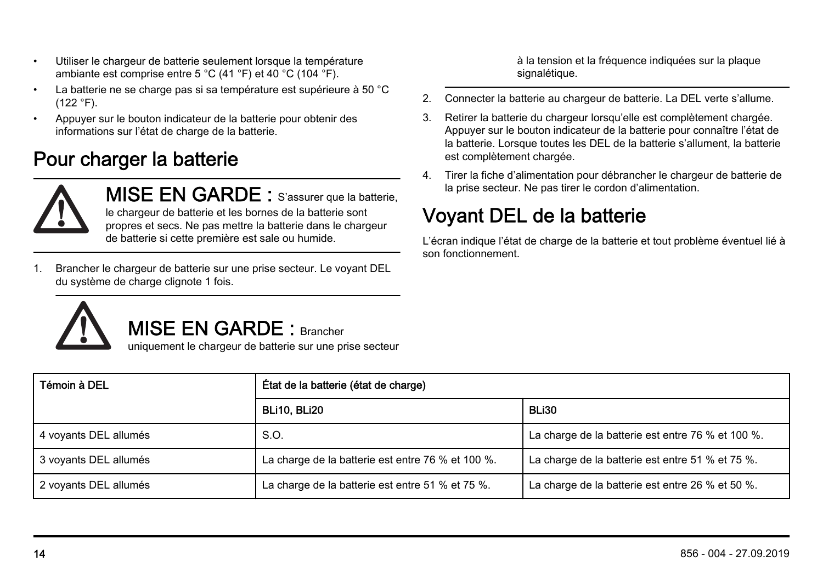- Utiliser le chargeur de batterie seulement lorsque la température ambiante est comprise entre 5 °C (41 °F) et 40 °C (104 °F).
- La batterie ne se charge pas si sa température est supérieure à 50 °C (122 °F).
- Appuyer sur le bouton indicateur de la batterie pour obtenir des informations sur l'état de charge de la batterie.

#### Pour charger la batterie



MISE EN GARDE : S'assurer que la batterie, le chargeur de batterie et les bornes de la batterie sont propres et secs. Ne pas mettre la batterie dans le chargeur de batterie si cette première est sale ou humide.

1. Brancher le chargeur de batterie sur une prise secteur. Le voyant DEL du système de charge clignote 1 fois.

à la tension et la fréquence indiquées sur la plaque signalétique.

- 2. Connecter la batterie au chargeur de batterie. La DEL verte s'allume.
- 3. Retirer la batterie du chargeur lorsqu'elle est complètement chargée. Appuyer sur le bouton indicateur de la batterie pour connaître l'état de la batterie. Lorsque toutes les DEL de la batterie s'allument, la batterie est complètement chargée.
- 4. Tirer la fiche d'alimentation pour débrancher le chargeur de batterie de la prise secteur. Ne pas tirer le cordon d'alimentation.

## Voyant DEL de la batterie

L'écran indique l'état de charge de la batterie et tout problème éventuel lié à son fonctionnement.



MISE EN GARDE : Brancher

uniquement le chargeur de batterie sur une prise secteur

| Tómoin à DEL          | État de la batterie (état de charge)              |                                                   |
|-----------------------|---------------------------------------------------|---------------------------------------------------|
|                       | <b>BLI10, BLI20</b>                               | BLI30                                             |
| 4 voyants DEL allumés | S.O.                                              | La charge de la batterie est entre 76 % et 100 %. |
| 3 voyants DEL allumés | La charge de la batterie est entre 76 % et 100 %. | La charge de la batterie est entre 51 % et 75 %.  |
| 2 voyants DEL allumés | La charge de la batterie est entre 51 % et 75 %.  | La charge de la batterie est entre 26 % et 50 %.  |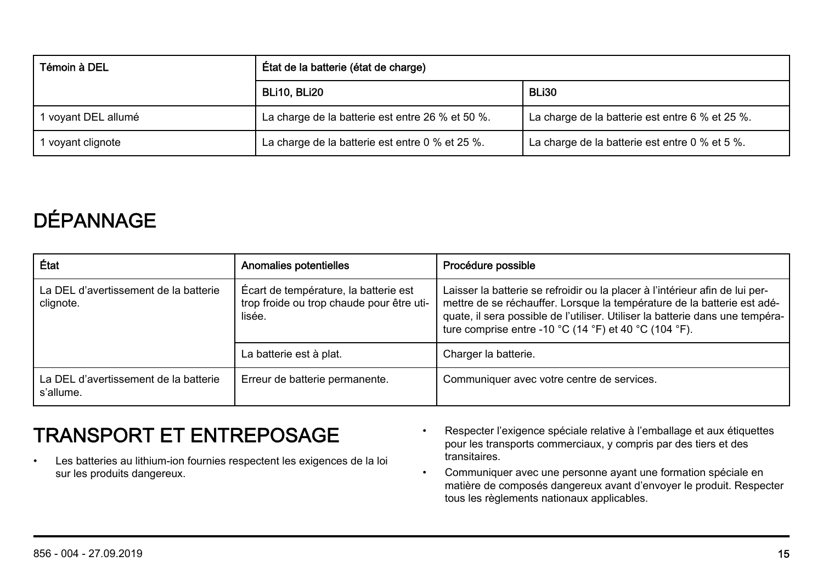| Témoin à DEL        | État de la batterie (état de charge)             |                                                 |
|---------------------|--------------------------------------------------|-------------------------------------------------|
|                     | BLI10. BLI20                                     | BLI30                                           |
| 1 voyant DEL allumé | La charge de la batterie est entre 26 % et 50 %. | La charge de la batterie est entre 6 % et 25 %. |
| 1 voyant clignote   | La charge de la batterie est entre 0 % et 25 %.  | La charge de la batterie est entre 0 % et 5 %.  |

# DÉPANNAGE

| État                                               | Anomalies potentielles                                                                       | Procédure possible                                                                                                                                                                                                                                                                                |
|----------------------------------------------------|----------------------------------------------------------------------------------------------|---------------------------------------------------------------------------------------------------------------------------------------------------------------------------------------------------------------------------------------------------------------------------------------------------|
| La DEL d'avertissement de la batterie<br>clignote. | Écart de température, la batterie est<br>trop froide ou trop chaude pour être uti-<br>lisée. | Laisser la batterie se refroidir ou la placer à l'intérieur afin de lui per-<br>mettre de se réchauffer. Lorsque la température de la batterie est adé-<br>quate, il sera possible de l'utiliser. Utiliser la batterie dans une tempéra-<br>ture comprise entre -10 °C (14 °F) et 40 °C (104 °F). |
|                                                    | La batterie est à plat.                                                                      | Charger la batterie.                                                                                                                                                                                                                                                                              |
| La DEL d'avertissement de la batterie<br>s'allume. | Erreur de batterie permanente.                                                               | Communiquer avec votre centre de services.                                                                                                                                                                                                                                                        |

#### TRANSPORT ET ENTREPOSAGE

- Les batteries au lithium-ion fournies respectent les exigences de la loi sur les produits dangereux.
- Respecter l'exigence spéciale relative à l'emballage et aux étiquettes pour les transports commerciaux, y compris par des tiers et des .<br>transitaires
- Communiquer avec une personne ayant une formation spéciale en matière de composés dangereux avant d'envoyer le produit. Respecter tous les règlements nationaux applicables.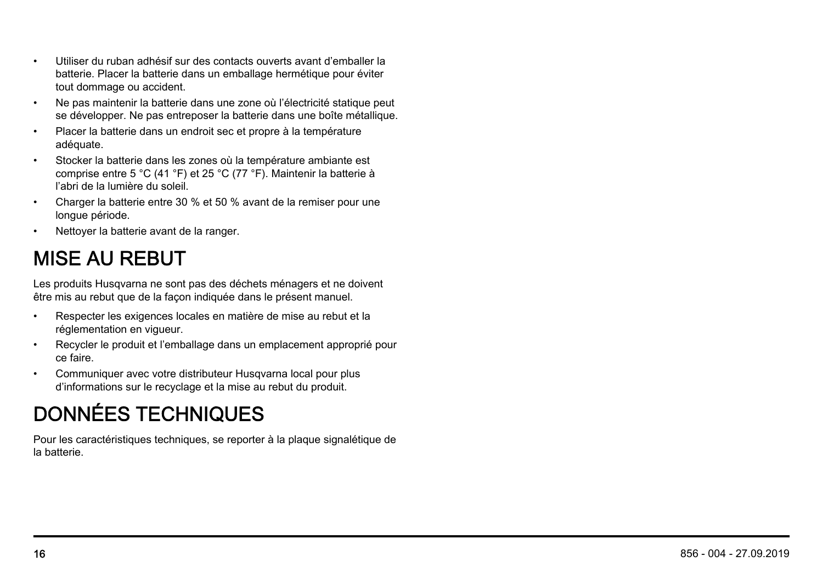- Utiliser du ruban adhésif sur des contacts ouverts avant d'emballer la batterie. Placer la batterie dans un emballage hermétique pour éviter tout dommage ou accident.
- Ne pas maintenir la batterie dans une zone où l'électricité statique peut se développer. Ne pas entreposer la batterie dans une boîte métallique.
- Placer la batterie dans un endroit sec et propre à la température adéquate.
- Stocker la batterie dans les zones où la température ambiante est comprise entre 5 °C (41 °F) et 25 °C (77 °F). Maintenir la batterie à l'abri de la lumière du soleil.
- Charger la batterie entre 30 % et 50 % avant de la remiser pour une longue période.
- Nettoyer la batterie avant de la ranger.

## MISE AU REBUT

Les produits Husqvarna ne sont pas des déchets ménagers et ne doivent être mis au rebut que de la façon indiquée dans le présent manuel.

- Respecter les exigences locales en matière de mise au rebut et la réglementation en vigueur.
- Recycler le produit et l'emballage dans un emplacement approprié pour ce faire.
- Communiquer avec votre distributeur Husqvarna local pour plus d'informations sur le recyclage et la mise au rebut du produit.

# DONNÉES TECHNIQUES

Pour les caractéristiques techniques, se reporter à la plaque signalétique de la batterie.